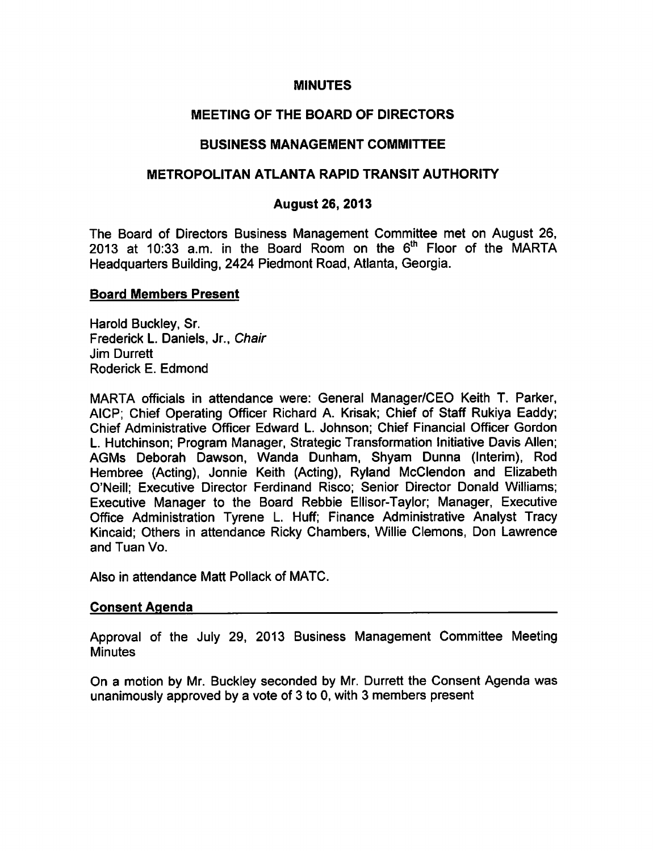### **MINUTES**

# MEETING OF THE BOARD OF DIRECTORS

## BUSINESS MANAGEMENT COMMITTEE

### METROPOLITAN ATLANTA RAPID TRANSIT AUTHORITY

### August 26, 2013

The Board of Directors Business Management Committee met on August 26, 2013 at 10:33 a.m. in the Board Room on the 6<sup>th</sup> Floor of the MARTA Headquarters Building, 2424 Piedmont Road, Atlanta, Georgia.

### Board Members Present

Harold Buckley, Sr. Frederick L. Daniels, Jr., Chair Jim Durrett Roderick E. Edmond

MARTA officials in attendance were: General Manager/CEO Keith T. Parker, AICP; Chief Operating Officer Richard A. Krisak; Chief of Staff Rukiya Eaddy; Chief Administrative Officer Edward L. Johnson; Chief Financial Officer Gordon L. Hutchinson; Program Manager, Strategic Transformation Initiative Davis Allen; AGMs Deborah Dawson, Wanda Dunham, Shyam Dunna (Interim), Rod Hembree (Acting), Jonnie Keith (Acting), Ryland McClendon and Elizabeth O'Neill; Executive Director Ferdinand Risco; Senior Director Donald Williams; Executive Manager to the Board Rebbie Ellisor-Taylor; Manager, Executive Office Administration Tyrene L. Huff; Finance Administrative Analyst Tracy Kincaid; Others in attendance Ricky Chambers, Willie demons, Don Lawrence and Tuan Vo.

Also in attendance Matt Pollack of MATC.

### Consent Agenda

Approval of the July 29, 2013 Business Management Committee Meeting **Minutes** 

On a motion by Mr. Buckley seconded by Mr. Durrett the Consent Agenda was unanimously approved by a vote of 3 to 0, with 3 members present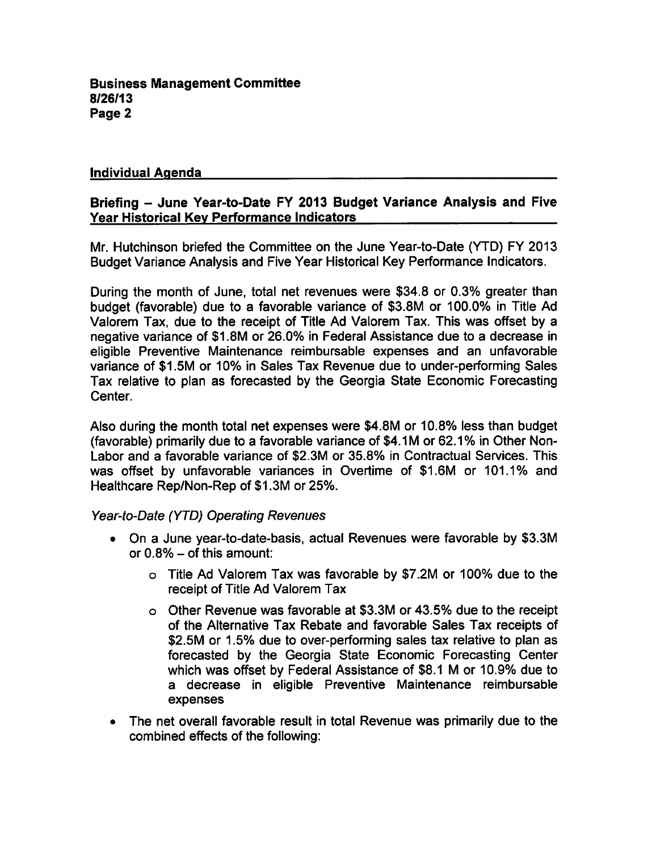## Individual Aqenda

## Briefing - June Year-to-Date FY 2013 Budget Variance Analysis and Five Year Historical Key Performance Indicators

Mr. Hutchinson briefed the Committee on the June Year-to-Date (YTD) FY 2013 Budget Variance Analysis and Five Year Historical Key Performance Indicators.

During the month of June, total net revenues were \$34.8 or 0.3% greater than budget (favorable) due to a favorable variance of \$3.8M or 100.0% in Title Ad Valorem Tax, due to the receipt of Title Ad Valorem Tax. This was offset by a negative variance of \$1.8M or 26.0% in Federal Assistance due to a decrease in eligible Preventive Maintenance reimbursable expenses and an unfavorable variance of \$1.5M or 10% in Sales Tax Revenue due to under-performing Sales Tax relative to plan as forecasted by the Georgia State Economic Forecasting Center.

Also during the month total net expenses were \$4.8M or 10.8% less than budget (favorable) primarily due to a favorable variance of \$4.1M or 62.1% in Other Non-Labor and a favorable variance of \$2.3M or 35.8% in Contractual Services. This was offset by unfavorable variances in Overtime of \$1.6M or 101.1% and Healthcare Rep/Non-Rep of \$1.3M or 25%.

### Year-to-Date (YTD) Operating Revenues

- On a June year-to-date-basis, actual Revenues were favorable by \$3.3M or  $0.8\%$  – of this amount:
	- Title Ad Valorem Tax was favorable by \$7.2M or 100% due to the receipt of Title Ad Valorem Tax
	- Other Revenue was favorable at \$3.3M or 43.5% due to the receipt of the Alternative Tax Rebate and favorable Sales Tax receipts of \$2.5M or 1.5% due to over-performing sales tax relative to plan as forecasted by the Georgia State Economic Forecasting Center which was offset by Federal Assistance of \$8.1 M or 10.9% due to decrease in eligible Preventive Maintenance reimbursable expenses
- The net overall favorable result in total Revenue was primarily due to the combined effects of the following: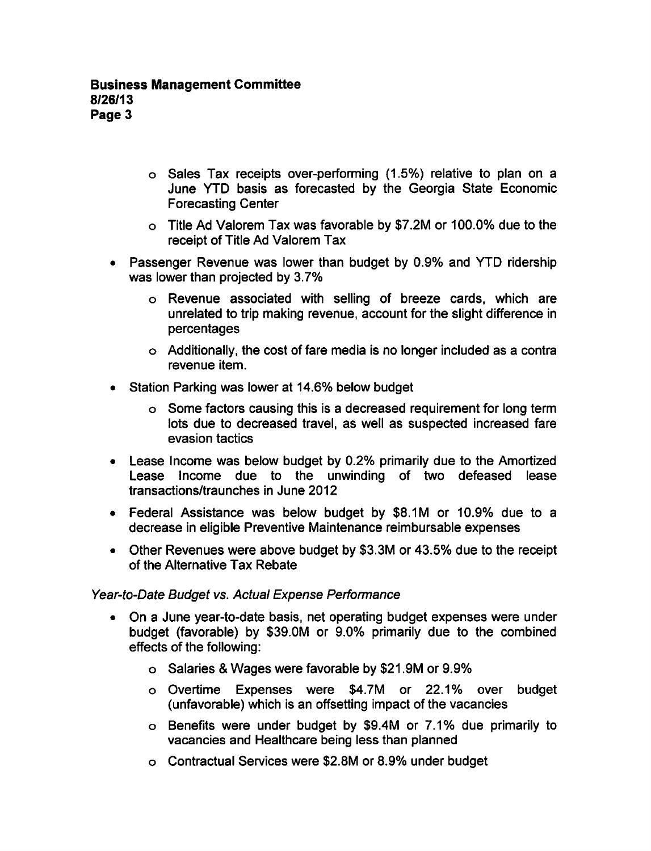- o Sales Tax receipts over-performing (1.5%) relative to plan on a June YTD basis as forecasted by the Georgia State Economic Forecasting Center
- Title Ad Valorem Tax was favorable by \$7.2M or 100.0% due to the receipt of Title Ad Valorem Tax
- Passenger Revenue was lower than budget by 0.9% and YTD ridership was lower than projected by 3.7%
	- Revenue associated with selling of breeze cards, which are unrelated to trip making revenue, account for the slight difference in percentages
	- Additionally, the cost of fare media is no longer included as a contra revenue item.
- Station Parking was lower at 14.6% below budget
	- Some factors causing this is decreased requirement for long term lots due to decreased travel, as well as suspected increased fare evasion tactics
- Lease Income was below budget by 0.2% primarily due to the Amortized Lease Income due to the unwinding of two defeased lease transactions/traunches in June 2012
- Federal Assistance was below budget by \$8.1M or 10.9% due to a decrease in eligible Preventive Maintenance reimbursable expenses
- Other Revenues were above budget by \$3.3M or 43.5% due to the receipt of the Alternative Tax Rebate

## Year-to-Date Budget vs. Actual Expense Performance

- On a June year-to-date basis, net operating budget expenses were under  $\bullet$ budget (favorable) by \$39.0M or 9.0% primarily due to the combined effects of the following:
	- Salaries Wages were favorable by \$21.9M or 9.9%
	- Overtime Expenses were \$4.7M or 22.1% over budget (unfavorable) which is an offsetting impact of the vacancies
	- Benefits were under budget by \$9.4M or 7.1% due primarily to vacancies and Healthcare being less than planned
	- Contractual Services were \$2.8M or 8.9% under budget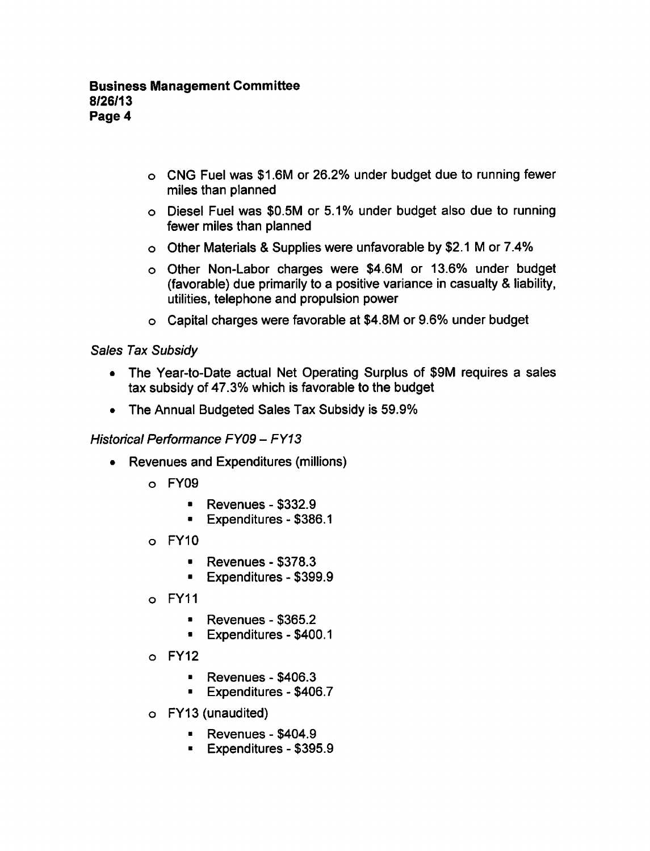- CNG Fuel was \$1.6M or 26.2% under budget due to running fewer miles than planned
- Diesel Fuel was \$0.5M or 5.1% under budget also due to running fewer miles than planned
- $\circ$  Other Materials & Supplies were unfavorable by \$2.1 M or 7.4%
- o Other Non-Labor charges were \$4.6M or 13.6% under budget (favorable) due primarily to a positive variance in casualty & liability, utilities, telephone and propulsion power
- Capital charges were favorable at \$4.8M or 9.6% under budget

## Sales Tax Subsidy

- The Year-to-Date actual Net Operating Surplus of \$9M requires a sales tax subsidy of 47.3% which is favorable to the budget
- The Annual Budgeted Sales Tax Subsidy is 59.9%  $\bullet$

## Historical Performance FY09 - FY13

- Revenues and Expenditures (millions)  $\bullet$ 
	- FY09
		- $\blacksquare$  Revenues \$332.9
		- Expenditures-\$386.1
	- $o$  FY10
		- $\blacksquare$  Revenues \$378.3
		- **Expenditures \$399.9**
	- FY11
		- Revenues \$365.2  $\blacksquare$
		- **Expenditures \$400.1**
	- $O$  FY12
		- Revenues \$406.3  $\blacksquare$
		- $\blacksquare$  Expenditures \$406.7
	- FY13 (unaudited)
		- $\blacksquare$  Revenues \$404.9
		- $\blacksquare$  Expenditures \$395.9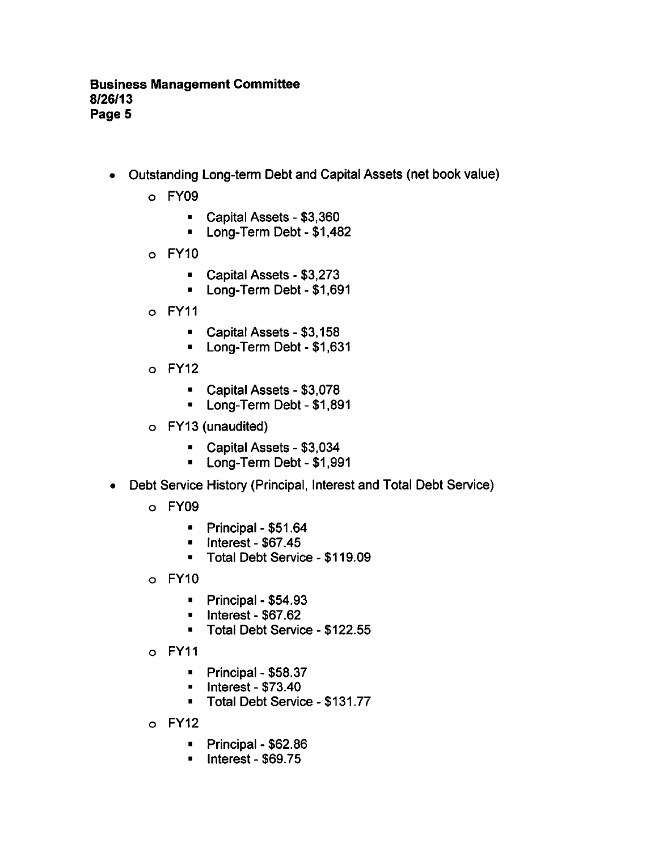- Outstanding Long-term Debt and Capital Assets (net book value)  $\bullet$ 
	- FY09
		- $\blacksquare$  Capital Assets \$3,360
		- Long-Term Debt \$1,482  $\blacksquare$
	- FY10
		- $\blacksquare$  Capital Assets \$3,273
		- Long-Term Debt \$1,691  $\bullet$
	- FY11
		- Capital Assets-\$3,158
		- Long-Term Debt \$1,631  $\blacksquare$
	- $o$  FY12
		- $\blacksquare$  Capital Assets \$3,078
		- **E** Long-Term Debt \$1,891
	- FY13 (unaudited)
		- $\blacksquare$  Capital Assets \$3,034
		- Long-Term Debt \$1,991
- Debt Service History (Principal, Interest and Total Debt Service)
	- FY09
		- $\blacksquare$ Principal -  $$51.64$
		- $\blacksquare$  Interest \$67.45
		- **Total Debt Service \$119.09**
	- FY10
		- $\blacksquare$  Principal \$54.93
		- $\blacksquare$  Interest \$67.62
		- Total Debt Service \$122.55
	- FY11
		- $\blacksquare$  Principal \$58.37
		- Interest  $$73.40$  $\mathbf{u}$  .
		- Total Debt Service \$131.77
	- FY12
		- $\blacksquare$ Principal - \$62.86
		- $\blacksquare$ Interest -  $$69.75$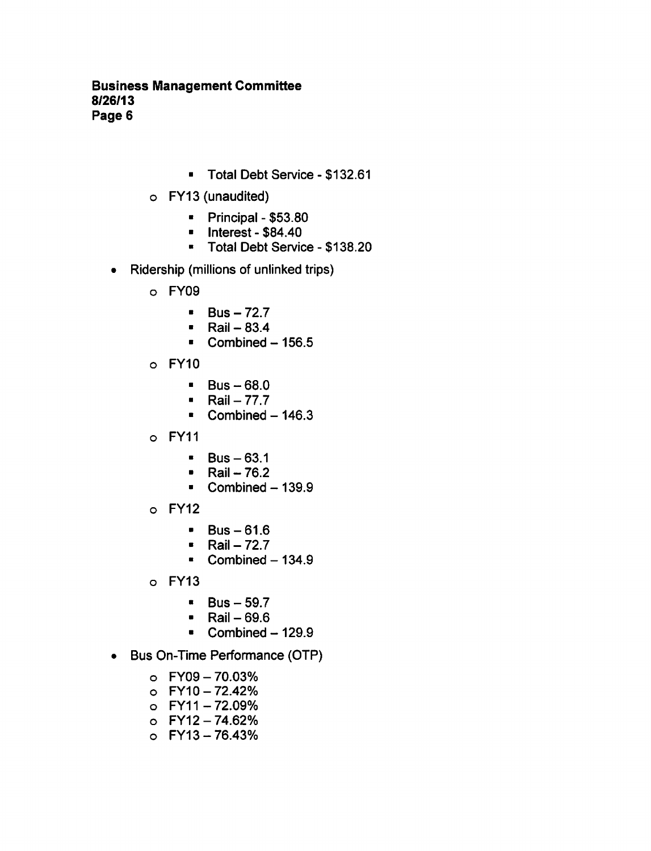## Business Management Committee 8/26/13 Page 6

- **Total Debt Service \$132.61**
- FY13 (unaudited)
	- $\blacksquare$  Principal \$53.80
	- $\blacksquare$  Interest \$84.40
	- **Total Debt Service \$138.20**
- Ridership (millions of unlinked trips)  $\bullet$ 
	- FY09
		- $Bus 72.7$  $\blacksquare$
		- $\blacksquare$  Rail 83.4
		- Combined  $156.5$
	- FY10
		- $\blacksquare$  Bus 68.0
		- $Rail 77.7$
		- $\blacksquare$ Combined  $-146.3$
	- FY11
		- $\bullet$  Bus  $-63.1$
		- Rail  $-76.2$
		- $\blacksquare$  Combined 139.9
	- FY12
		- $\blacksquare$  Bus 61.6
		- $Rail 72.7$
		- $\textdegree$  Combined 134.9
	- FY13
		- $\blacksquare$  Bus 59.7
		- Rail  $-69.6$
		- Combined  $-129.9$
- Bus On-Time Performance (OTP)
	- FY09 70.03%
	- FY10 72.42%
	- FY11 72.09%
	- FY12 74.62%
	- FY13 76.43%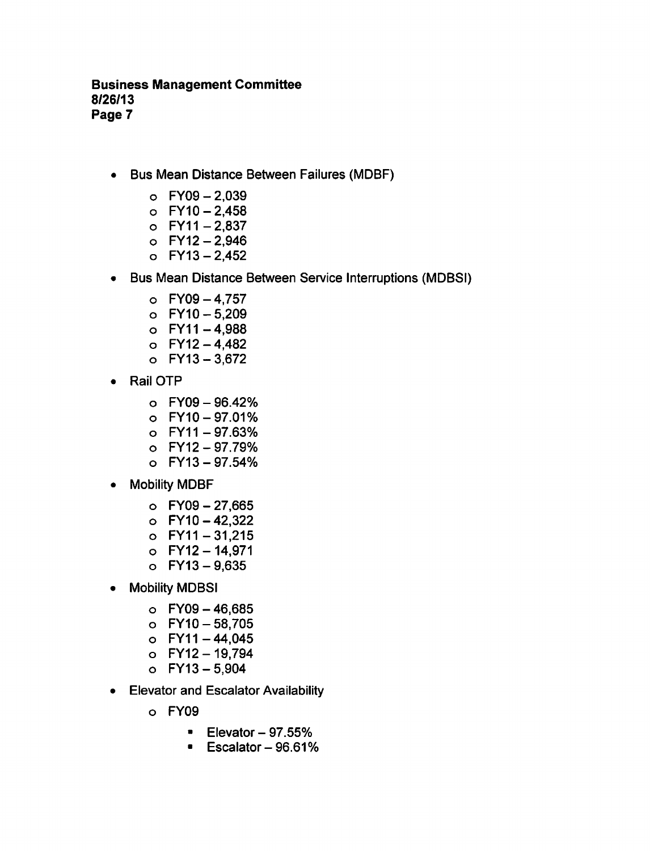## Business Management Committee 8/26/13 Page 7

- Bus Mean Distance Between Failures (MDBF)  $\bullet$ 
	- $O$  FY09 2,039
	- $O$  FY10 2,458
	- $O$  FY11 2,837
	- $O$  FY12 2,946
	- $O$  FY13 2,452
- Bus Mean Distance Between Service Interruptions (MDBSI)
	- $O$  FY09 4.757
	- $O$  FY10  $-5,209$
	- $O$  FY11-4,988
	- $O$  FY12 4,482
	- $O$  FY13 3,672
- Rail OTP  $\bullet$ 
	- $O$  FY09 96.42%
	- FY10-97.01%
	- FY11-97.63%
	- $O$  FY12 97.79%
	- FY13-97.54%
- Mobility MDBF
	- $O$  FY09 27,665
	- $O$  FY10 42,322
	- $O$  FY11 31,215
	- $O$  FY12 14,971
	- $O$  FY13 9,635
- Mobility MDBSI
	- $O$  FY09 46,685
	- $O$  FY10  $-58,705$
	- $O$  FY11-44,045
	- FY12-19,794
	- $O$  FY13 5,904
- Elevator and Escalator Availability
	- FY09
		- $\blacksquare$  Elevator 97.55%
		- $\blacksquare$  Escalator 96.61%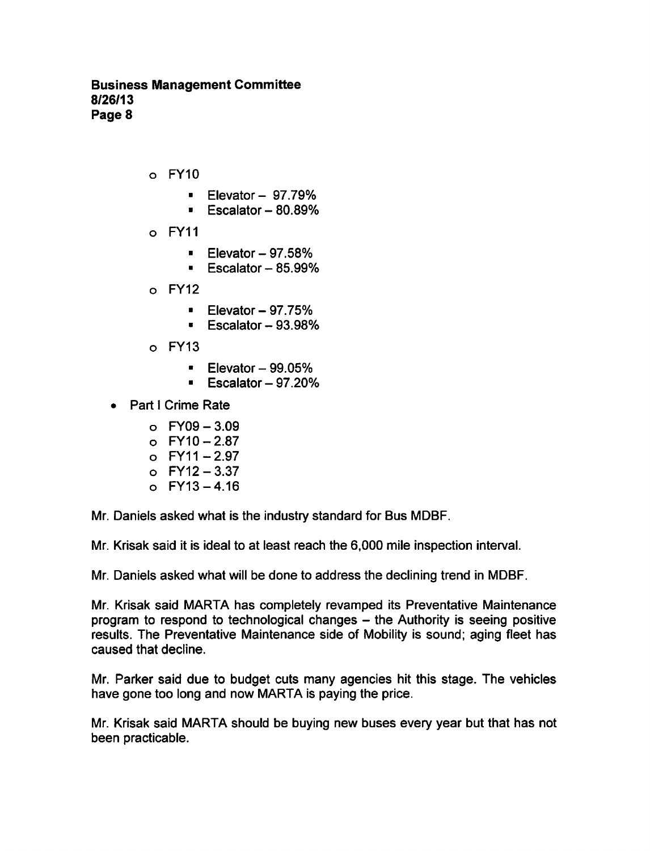## Business Management Committee 8/26/13 Page 8

- FY10
	- $\blacksquare$  Elevator 97.79%
	- $\overline{E}$  Escalator  $-80.89\%$
- FY11
	- Elevator $-97.58%$
	- $\blacksquare$  Escalator 85.99%
- $o$  FY12
	- Elevator  $-97.75%$
	- Escalator  $-93.98%$
- FY13
	- Elevator  $-99.05%$
	- $\blacksquare$  Escalator 97.20%
- **Part I Crime Rate**  $\bullet$ 
	- $O$  FY09 3.09
	- $O$  FY10 2.87
	- $O$  FY11 2.97
	- $O$  FY12 3.37
	- $O$  FY13 4.16

Mr. Daniels asked what is the industry standard for Bus MDBF.

Mr. Krisak said it is ideal to at least reach the 6,000 mile inspection interval.

Mr. Daniels asked what will be done to address the declining trend in MDBF.

Mr. Krisak said MARTA has completely revamped its Preventative Maintenance program to respond to technological changes  $-$  the Authority is seeing positive results. The Preventative Maintenance side of Mobility is sound; aging fleet has caused that decline.

Mr. Parker said due to budget cuts many agencies hit this stage. The vehicles have gone too long and now MARTA is paying the price.

Mr. Krisak said MARTA should be buying new buses every year but that has not been practicable.